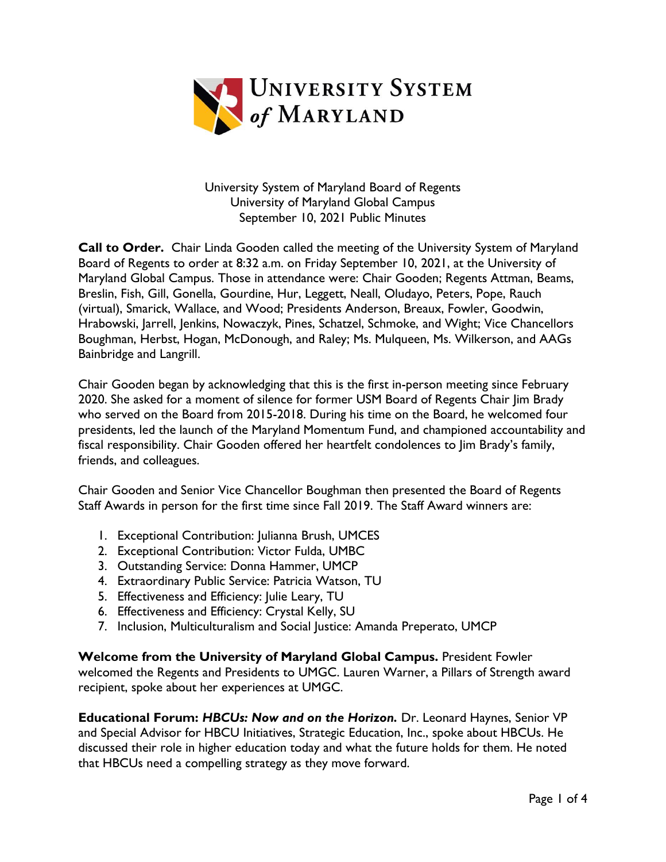

University System of Maryland Board of Regents University of Maryland Global Campus September 10, 2021 Public Minutes

**Call to Order.** Chair Linda Gooden called the meeting of the University System of Maryland Board of Regents to order at 8:32 a.m. on Friday September 10, 2021, at the University of Maryland Global Campus. Those in attendance were: Chair Gooden; Regents Attman, Beams, Breslin, Fish, Gill, Gonella, Gourdine, Hur, Leggett, Neall, Oludayo, Peters, Pope, Rauch (virtual), Smarick, Wallace, and Wood; Presidents Anderson, Breaux, Fowler, Goodwin, Hrabowski, Jarrell, Jenkins, Nowaczyk, Pines, Schatzel, Schmoke, and Wight; Vice Chancellors Boughman, Herbst, Hogan, McDonough, and Raley; Ms. Mulqueen, Ms. Wilkerson, and AAGs Bainbridge and Langrill.

Chair Gooden began by acknowledging that this is the first in-person meeting since February 2020. She asked for a moment of silence for former USM Board of Regents Chair Jim Brady who served on the Board from 2015-2018. During his time on the Board, he welcomed four presidents, led the launch of the Maryland Momentum Fund, and championed accountability and fiscal responsibility. Chair Gooden offered her heartfelt condolences to Jim Brady's family, friends, and colleagues.

Chair Gooden and Senior Vice Chancellor Boughman then presented the Board of Regents Staff Awards in person for the first time since Fall 2019. The Staff Award winners are:

- 1. Exceptional Contribution: Julianna Brush, UMCES
- 2. Exceptional Contribution: Victor Fulda, UMBC
- 3. Outstanding Service: Donna Hammer, UMCP
- 4. Extraordinary Public Service: Patricia Watson, TU
- 5. Effectiveness and Efficiency: Julie Leary, TU
- 6. Effectiveness and Efficiency: Crystal Kelly, SU
- 7. Inclusion, Multiculturalism and Social Justice: Amanda Preperato, UMCP

**Welcome from the University of Maryland Global Campus.** President Fowler welcomed the Regents and Presidents to UMGC. Lauren Warner, a Pillars of Strength award recipient, spoke about her experiences at UMGC.

**Educational Forum:** *HBCUs: Now and on the Horizon.* Dr. Leonard Haynes, Senior VP and Special Advisor for HBCU Initiatives, Strategic Education, Inc., spoke about HBCUs. He discussed their role in higher education today and what the future holds for them. He noted that HBCUs need a compelling strategy as they move forward.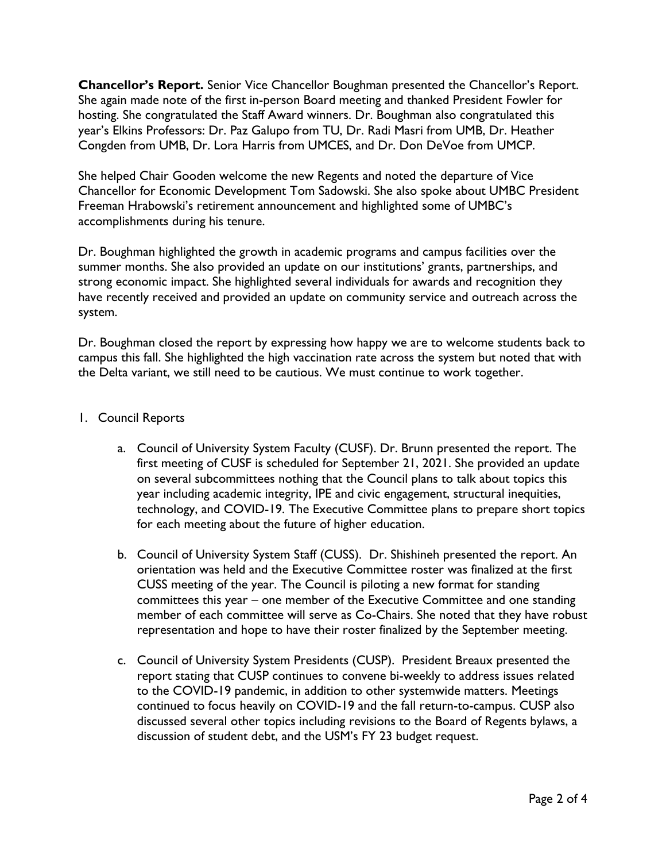**Chancellor's Report.** Senior Vice Chancellor Boughman presented the Chancellor's Report. She again made note of the first in-person Board meeting and thanked President Fowler for hosting. She congratulated the Staff Award winners. Dr. Boughman also congratulated this year's Elkins Professors: Dr. Paz Galupo from TU, Dr. Radi Masri from UMB, Dr. Heather Congden from UMB, Dr. Lora Harris from UMCES, and Dr. Don DeVoe from UMCP.

She helped Chair Gooden welcome the new Regents and noted the departure of Vice Chancellor for Economic Development Tom Sadowski. She also spoke about UMBC President Freeman Hrabowski's retirement announcement and highlighted some of UMBC's accomplishments during his tenure.

Dr. Boughman highlighted the growth in academic programs and campus facilities over the summer months. She also provided an update on our institutions' grants, partnerships, and strong economic impact. She highlighted several individuals for awards and recognition they have recently received and provided an update on community service and outreach across the system.

Dr. Boughman closed the report by expressing how happy we are to welcome students back to campus this fall. She highlighted the high vaccination rate across the system but noted that with the Delta variant, we still need to be cautious. We must continue to work together.

## 1. Council Reports

- a. Council of University System Faculty (CUSF). Dr. Brunn presented the report. The first meeting of CUSF is scheduled for September 21, 2021. She provided an update on several subcommittees nothing that the Council plans to talk about topics this year including academic integrity, IPE and civic engagement, structural inequities, technology, and COVID-19. The Executive Committee plans to prepare short topics for each meeting about the future of higher education.
- b. Council of University System Staff (CUSS). Dr. Shishineh presented the report. An orientation was held and the Executive Committee roster was finalized at the first CUSS meeting of the year. The Council is piloting a new format for standing committees this year – one member of the Executive Committee and one standing member of each committee will serve as Co-Chairs. She noted that they have robust representation and hope to have their roster finalized by the September meeting.
- c. Council of University System Presidents (CUSP). President Breaux presented the report stating that CUSP continues to convene bi-weekly to address issues related to the COVID-19 pandemic, in addition to other systemwide matters. Meetings continued to focus heavily on COVID-19 and the fall return-to-campus. CUSP also discussed several other topics including revisions to the Board of Regents bylaws, a discussion of student debt, and the USM's FY 23 budget request.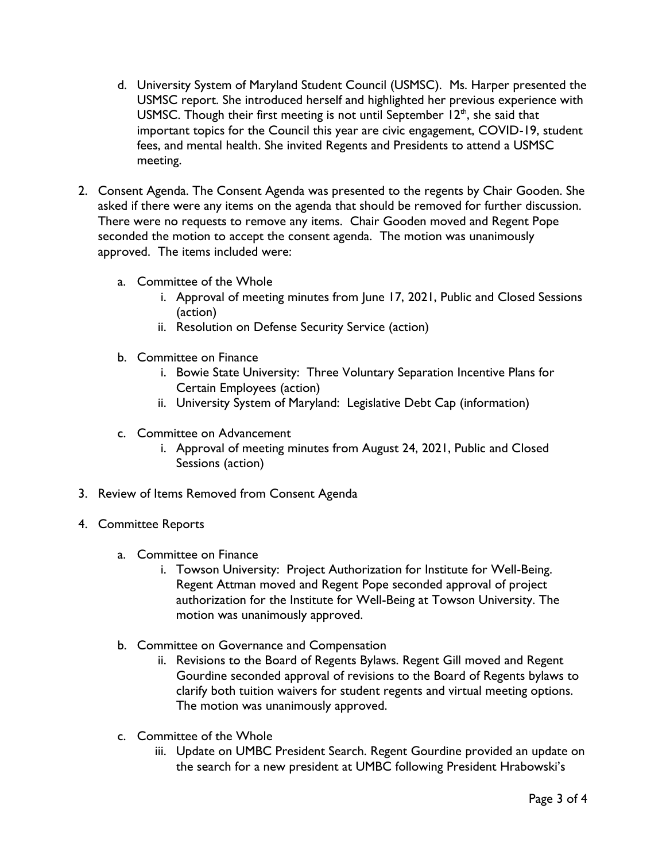- d. University System of Maryland Student Council (USMSC). Ms. Harper presented the USMSC report. She introduced herself and highlighted her previous experience with USMSC. Though their first meeting is not until September  $12<sup>th</sup>$ , she said that important topics for the Council this year are civic engagement, COVID-19, student fees, and mental health. She invited Regents and Presidents to attend a USMSC meeting.
- 2. Consent Agenda. The Consent Agenda was presented to the regents by Chair Gooden. She asked if there were any items on the agenda that should be removed for further discussion. There were no requests to remove any items. Chair Gooden moved and Regent Pope seconded the motion to accept the consent agenda. The motion was unanimously approved. The items included were:
	- a. Committee of the Whole
		- i. Approval of meeting minutes from June 17, 2021, Public and Closed Sessions (action)
		- ii. Resolution on Defense Security Service (action)
	- b. Committee on Finance
		- i. Bowie State University: Three Voluntary Separation Incentive Plans for Certain Employees (action)
		- ii. University System of Maryland: Legislative Debt Cap (information)
	- c. Committee on Advancement
		- i. Approval of meeting minutes from August 24, 2021, Public and Closed Sessions (action)
- 3. Review of Items Removed from Consent Agenda
- 4. Committee Reports
	- a. Committee on Finance
		- i. Towson University: Project Authorization for Institute for Well-Being. Regent Attman moved and Regent Pope seconded approval of project authorization for the Institute for Well-Being at Towson University. The motion was unanimously approved.
	- b. Committee on Governance and Compensation
		- ii. Revisions to the Board of Regents Bylaws. Regent Gill moved and Regent Gourdine seconded approval of revisions to the Board of Regents bylaws to clarify both tuition waivers for student regents and virtual meeting options. The motion was unanimously approved.
	- c. Committee of the Whole
		- iii. Update on UMBC President Search. Regent Gourdine provided an update on the search for a new president at UMBC following President Hrabowski's